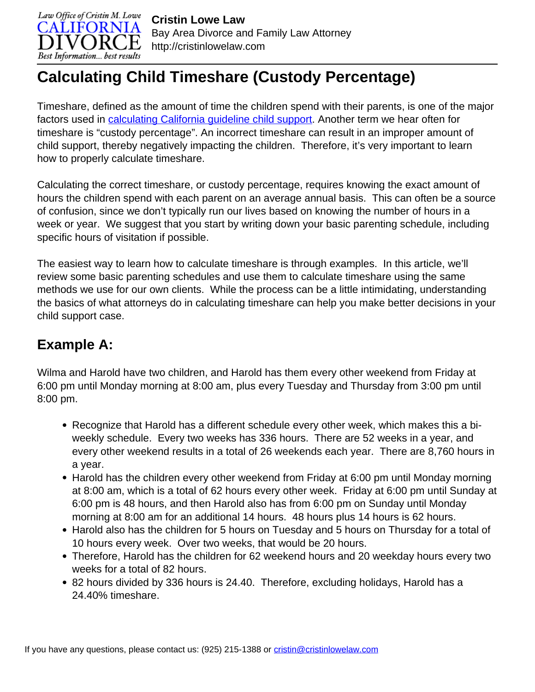

# **Calculating Child Timeshare (Custody Percentage)**

Timeshare, defined as the amount of time the children spend with their parents, is one of the major factors used in [calculating California guideline child support](http://cristinlowelaw.com/practice-areas/spousal-support/california-spousal-support-calculator/). Another term we hear often for timeshare is "custody percentage". An incorrect timeshare can result in an improper amount of child support, thereby negatively impacting the children. Therefore, it's very important to learn how to properly calculate timeshare.

Calculating the correct timeshare, or custody percentage, requires knowing the exact amount of hours the children spend with each parent on an average annual basis. This can often be a source of confusion, since we don't typically run our lives based on knowing the number of hours in a week or year. We suggest that you start by writing down your basic parenting schedule, including specific hours of visitation if possible.

The easiest way to learn how to calculate timeshare is through examples. In this article, we'll review some basic parenting schedules and use them to calculate timeshare using the same methods we use for our own clients. While the process can be a little intimidating, understanding the basics of what attorneys do in calculating timeshare can help you make better decisions in your child support case.

# **Example A:**

Wilma and Harold have two children, and Harold has them every other weekend from Friday at 6:00 pm until Monday morning at 8:00 am, plus every Tuesday and Thursday from 3:00 pm until 8:00 pm.

- Recognize that Harold has a different schedule every other week, which makes this a biweekly schedule. Every two weeks has 336 hours. There are 52 weeks in a year, and every other weekend results in a total of 26 weekends each year. There are 8,760 hours in a year.
- Harold has the children every other weekend from Friday at 6:00 pm until Monday morning at 8:00 am, which is a total of 62 hours every other week. Friday at 6:00 pm until Sunday at 6:00 pm is 48 hours, and then Harold also has from 6:00 pm on Sunday until Monday morning at 8:00 am for an additional 14 hours. 48 hours plus 14 hours is 62 hours.
- Harold also has the children for 5 hours on Tuesday and 5 hours on Thursday for a total of 10 hours every week. Over two weeks, that would be 20 hours.
- Therefore, Harold has the children for 62 weekend hours and 20 weekday hours every two weeks for a total of 82 hours.
- 82 hours divided by 336 hours is 24.40. Therefore, excluding holidays, Harold has a 24.40% timeshare.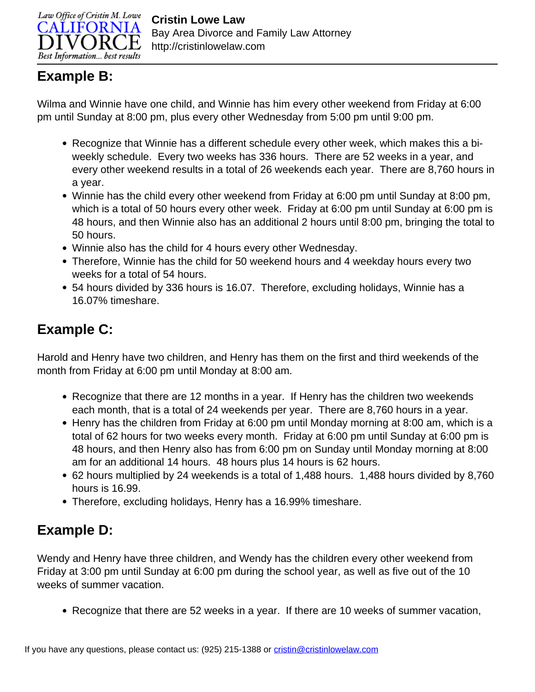

#### **Example B:**

Wilma and Winnie have one child, and Winnie has him every other weekend from Friday at 6:00 pm until Sunday at 8:00 pm, plus every other Wednesday from 5:00 pm until 9:00 pm.

- Recognize that Winnie has a different schedule every other week, which makes this a biweekly schedule. Every two weeks has 336 hours. There are 52 weeks in a year, and every other weekend results in a total of 26 weekends each year. There are 8,760 hours in a year.
- Winnie has the child every other weekend from Friday at 6:00 pm until Sunday at 8:00 pm, which is a total of 50 hours every other week. Friday at 6:00 pm until Sunday at 6:00 pm is 48 hours, and then Winnie also has an additional 2 hours until 8:00 pm, bringing the total to 50 hours.
- Winnie also has the child for 4 hours every other Wednesday.
- Therefore, Winnie has the child for 50 weekend hours and 4 weekday hours every two weeks for a total of 54 hours.
- 54 hours divided by 336 hours is 16.07. Therefore, excluding holidays, Winnie has a 16.07% timeshare.

# **Example C:**

Harold and Henry have two children, and Henry has them on the first and third weekends of the month from Friday at 6:00 pm until Monday at 8:00 am.

- Recognize that there are 12 months in a year. If Henry has the children two weekends each month, that is a total of 24 weekends per year. There are 8,760 hours in a year.
- Henry has the children from Friday at 6:00 pm until Monday morning at 8:00 am, which is a total of 62 hours for two weeks every month. Friday at 6:00 pm until Sunday at 6:00 pm is 48 hours, and then Henry also has from 6:00 pm on Sunday until Monday morning at 8:00 am for an additional 14 hours. 48 hours plus 14 hours is 62 hours.
- 62 hours multiplied by 24 weekends is a total of 1,488 hours. 1,488 hours divided by 8,760 hours is 16.99.
- Therefore, excluding holidays, Henry has a 16.99% timeshare.

# **Example D:**

Wendy and Henry have three children, and Wendy has the children every other weekend from Friday at 3:00 pm until Sunday at 6:00 pm during the school year, as well as five out of the 10 weeks of summer vacation.

• Recognize that there are 52 weeks in a year. If there are 10 weeks of summer vacation,